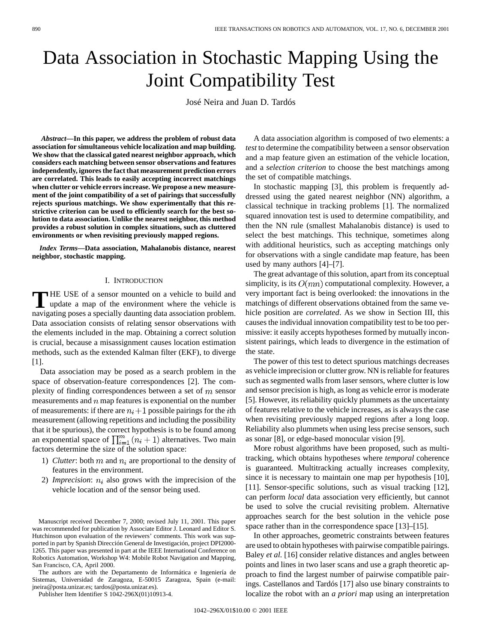# Data Association in Stochastic Mapping Using the Joint Compatibility Test

José Neira and Juan D. Tardós

*Abstract—***In this paper, we address the problem of robust data association for simultaneous vehicle localization and map building. We show that the classical gated nearest neighbor approach, which considers each matching between sensor observations and features independently, ignores the fact that measurement prediction errors are correlated. This leads to easily accepting incorrect matchings when clutter or vehicle errors increase. We propose a new measurement of the joint compatibility of a set of pairings that successfully rejects spurious matchings. We show experimentally that this restrictive criterion can be used to efficiently search for the best solution to data association. Unlike the nearest neighbor, this method provides a robust solution in complex situations, such as cluttered environments or when revisiting previously mapped regions.**

*Index Terms—***Data association, Mahalanobis distance, nearest neighbor, stochastic mapping.**

# I. INTRODUCTION

**T** HE USE of a sensor mounted on a vehicle to build and update a map of the environment where the vehicle is navigating poses a specially daunting data association problem. Data association consists of relating sensor observations with the elements included in the map. Obtaining a correct solution is crucial, because a misassignment causes location estimation methods, such as the extended Kalman filter (EKF), to diverge [1].

Data association may be posed as a search problem in the space of observation-feature correspondences [2]. The complexity of finding correspondences between a set of  $m$  sensor measurements and  $n$  map features is exponential on the number of measurements: if there are  $n_i+1$  possible pairings for the *i*th measurement (allowing repetitions and including the possibility that it be spurious), the correct hypothesis is to be found among an exponential space of  $\prod_{i=1}^{m} (n_i + 1)$  alternatives. Two main factors determine the size of the solution space:

- 1) *Clutter*: both  $m$  and  $n_i$  are proportional to the density of features in the environment.
- 2) *Imprecision*:  $n_i$  also grows with the imprecision of the vehicle location and of the sensor being used.

The authors are with the Departamento de Informática e Ingeniería de Sistemas, Universidad de Zaragoza, E-50015 Zaragoza, Spain (e-mail: jneira@posta.unizar.es; tardos@posta.unizar.es).

Publisher Item Identifier S 1042-296X(01)10913-4.

A data association algorithm is composed of two elements: a *test* to determine the compatibility between a sensor observation and a map feature given an estimation of the vehicle location, and a *selection criterion* to choose the best matchings among the set of compatible matchings.

In stochastic mapping [3], this problem is frequently addressed using the gated nearest neighbor (NN) algorithm, a classical technique in tracking problems [1]. The normalized squared innovation test is used to determine compatibility, and then the NN rule (smallest Mahalanobis distance) is used to select the best matchings. This technique, sometimes along with additional heuristics, such as accepting matchings only for observations with a single candidate map feature, has been used by many authors [4]–[7].

The great advantage of this solution, apart from its conceptual simplicity, is its  $O(mn)$  computational complexity. However, a very important fact is being overlooked: the innovations in the matchings of different observations obtained from the same vehicle position are *correlated*. As we show in Section III, this causes the individual innovation compatibility test to be too permissive: it easily accepts hypotheses formed by mutually inconsistent pairings, which leads to divergence in the estimation of the state.

The power of this test to detect spurious matchings decreases as vehicle imprecision or clutter grow. NN is reliable for features such as segmented walls from laser sensors, where clutter is low and sensor precision is high, as long as vehicle error is moderate [5]. However, its reliability quickly plummets as the uncertainty of features relative to the vehicle increases, as is always the case when revisiting previously mapped regions after a long loop. Reliability also plummets when using less precise sensors, such as sonar [8], or edge-based monocular vision [9].

More robust algorithms have been proposed, such as multitracking, which obtains hypotheses where *temporal* coherence is guaranteed. Multitracking actually increases complexity, since it is necessary to maintain one map per hypothesis [10], [11]. Sensor-specific solutions, such as visual tracking [12], can perform *local* data association very efficiently, but cannot be used to solve the crucial revisiting problem. Alternative approaches search for the best solution in the vehicle pose space rather than in the correspondence space [13]–[15].

In other approaches, geometric constraints between features are used to obtain hypotheses with pairwise compatible pairings. Baley *et al.* [16] consider relative distances and angles between points and lines in two laser scans and use a graph theoretic approach to find the largest number of pairwise compatible pairings. Castellanos and Tardós [17] also use binary constraints to localize the robot with an *a priori* map using an interpretation

Manuscript received December 7, 2000; revised July 11, 2001. This paper was recommended for publication by Associate Editor J. Leonard and Editor S. Hutchinson upon evaluation of the reviewers' comments. This work was supported in part by Spanish Dirección General de Investigación, project DPI2000- 1265. This paper was presented in part at the IEEE International Conference on Robotics Automation, Workshop W4: Mobile Robot Navigation and Mapping, San Francisco, CA, April 2000.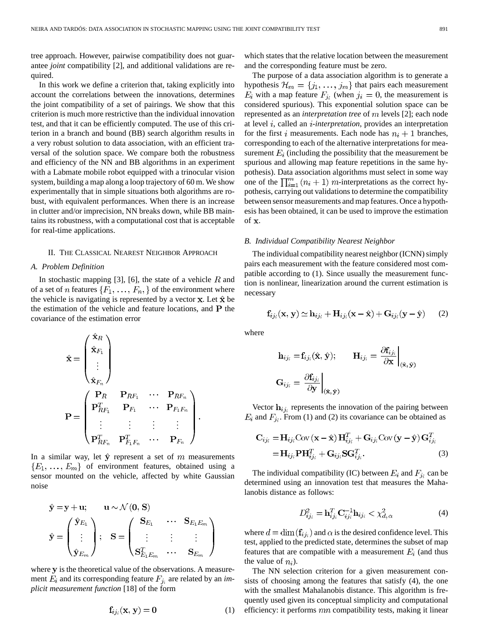tree approach. However, pairwise compatibility does not guarantee *joint* compatibility [2], and additional validations are required.

In this work we define a criterion that, taking explicitly into account the correlations between the innovations, determines the joint compatibility of a set of pairings. We show that this criterion is much more restrictive than the individual innovation test, and that it can be efficiently computed. The use of this criterion in a branch and bound (BB) search algorithm results in a very robust solution to data association, with an efficient traversal of the solution space. We compare both the robustness and efficiency of the NN and BB algorithms in an experiment with a Labmate mobile robot equipped with a trinocular vision system, building a map along a loop trajectory of 60 m. We show experimentally that in simple situations both algorithms are robust, with equivalent performances. When there is an increase in clutter and/or imprecision, NN breaks down, while BB maintains its robustness, with a computational cost that is acceptable for real-time applications.

#### II. THE CLASSICAL NEAREST NEIGHBOR APPROACH

# *A. Problem Definition*

In stochastic mapping [3], [6], the state of a vehicle  $R$  and of a set of *n* features  $\{F_1, \ldots, F_n\}$  of the environment where the vehicle is navigating is represented by a vector  $x$ . Let  $\hat{x}$  be the estimation of the vehicle and feature locations, and  $P$  the covariance of the estimation error

$$
\hat{\mathbf{x}} = \begin{pmatrix} \hat{\mathbf{x}}_R \\ \hat{\mathbf{x}}_{F_1} \\ \vdots \\ \hat{\mathbf{x}}_{F_n} \end{pmatrix}
$$

$$
\mathbf{P} = \begin{pmatrix} \mathbf{P}_R & \mathbf{P}_{RF_1} & \cdots & \mathbf{P}_{RF_n} \\ \mathbf{P}_{RF_1}^T & \mathbf{P}_{F_1} & \cdots & \mathbf{P}_{F_1F_n} \\ \vdots & \vdots & \vdots & \vdots \\ \mathbf{P}_{RF_n}^T & \mathbf{P}_{F_1F_n}^T & \cdots & \mathbf{P}_{F_n} \end{pmatrix}.
$$

In a similar way, let  $\hat{y}$  represent a set of m measurements  ${E_1, \ldots, E_m}$  of environment features, obtained using a sensor mounted on the vehicle, affected by white Gaussian noise

$$
\hat{\mathbf{y}} = \mathbf{y} + \mathbf{u}; \qquad \mathbf{u} \sim \mathcal{N}(\mathbf{0}, \mathbf{S})
$$
\n
$$
\hat{\mathbf{y}} = \begin{pmatrix} \hat{\mathbf{y}}_{E_1} \\ \vdots \\ \hat{\mathbf{y}}_{E_m} \end{pmatrix}; \quad \mathbf{S} = \begin{pmatrix} \mathbf{S}_{E_1} & \cdots & \mathbf{S}_{E_1 E_m} \\ \vdots & \vdots & \vdots \\ \mathbf{S}_{E_1 E_m}^T & \cdots & \mathbf{S}_{E_m} \end{pmatrix}
$$

where  $y$  is the theoretical value of the observations. A measurement  $E_i$  and its corresponding feature  $F_{j_i}$  are related by an *implicit measurement function* [18] of the form

$$
\mathbf{f}_{ij}(\mathbf{x}, \mathbf{y}) = \mathbf{0} \tag{1}
$$

which states that the relative location between the measurement and the corresponding feature must be zero.

The purpose of a data association algorithm is to generate a hypothesis  $\mathcal{H}_m = \{j_1, \ldots, j_m\}$  that pairs each measurement  $E_i$  with a map feature  $F_{i_i}$  (when  $j_i = 0$ , the measurement is considered spurious). This exponential solution space can be represented as an *interpretation tree* of m levels [2]; each node at level *i*, called an *i*-interpretation, provides an interpretation for the first i measurements. Each node has  $n_i + 1$  branches, corresponding to each of the alternative interpretations for measurement  $E_i$  (including the possibility that the measurement be spurious and allowing map feature repetitions in the same hypothesis). Data association algorithms must select in some way one of the  $\prod_{i=1}^{m} (n_i + 1)$  *m*-interpretations as the correct hypothesis, carrying out validations to determine the compatibility between sensor measurements and map features. Once a hypothesis has been obtained, it can be used to improve the estimation of  $\bf{x}$ 

#### *B. Individual Compatibility Nearest Neighbor*

The individual compatibility nearest neighbor (ICNN) simply pairs each measurement with the feature considered most compatible according to (1). Since usually the measurement function is nonlinear, linearization around the current estimation is necessary

$$
\mathbf{f}_{ij_i}(\mathbf{x}, \mathbf{y}) \simeq \mathbf{h}_{ij_i} + \mathbf{H}_{ij_i}(\mathbf{x} - \hat{\mathbf{x}}) + \mathbf{G}_{ij_i}(\mathbf{y} - \hat{\mathbf{y}})
$$
(2)

where

$$
\begin{aligned} \mathbf{h}_{ij_i} & = \mathbf{f}_{ij_i}(\hat{\mathbf{x}}, \hat{\mathbf{y}}); \qquad \mathbf{H}_{ij_i} = \left. \frac{\partial \mathbf{f}_{ij_i}}{\partial \mathbf{x}} \right|_{(\hat{\mathbf{x}}, \hat{\mathbf{y}})} \\ \mathbf{G}_{ij_i} & = \left. \frac{\partial \mathbf{f}_{ij_i}}{\partial \mathbf{y}} \right|_{(\hat{\mathbf{x}}, \hat{\mathbf{y}})} \end{aligned}
$$

Vector  $\mathbf{h}_{i}$  represents the innovation of the pairing between  $E_i$  and  $F_{j_i}$ . From (1) and (2) its covariance can be obtained as

$$
\mathbf{C}_{ij_i} = \mathbf{H}_{ij_i} \text{Cov}(\mathbf{x} - \hat{\mathbf{x}}) \mathbf{H}_{ij_i}^T + \mathbf{G}_{ij_i} \text{Cov}(\mathbf{y} - \hat{\mathbf{y}}) \mathbf{G}_{ij_i}^T \n= \mathbf{H}_{ij_i} \mathbf{P} \mathbf{H}_{ij_i}^T + \mathbf{G}_{ij_i} \mathbf{S} \mathbf{G}_{ij_i}^T.
$$
\n(3)

The individual compatibility (IC) between  $E_i$  and  $F_{i_i}$  can be determined using an innovation test that measures the Mahalanobis distance as follows:

$$
D_{ij_i}^2 = \mathbf{h}_{ij_i}^T \mathbf{C}_{ij_i}^{-1} \mathbf{h}_{ij_i} < \chi_{d,\alpha}^2 \tag{4}
$$

where  $d = \dim(\mathbf{f}_{ij}$  and  $\alpha$  is the desired confidence level. This test, applied to the predicted state, determines the subset of map features that are compatible with a measurement  $E_i$  (and thus the value of  $n_i$ ).

The NN selection criterion for a given measurement consists of choosing among the features that satisfy (4), the one with the smallest Mahalanobis distance. This algorithm is frequently used given its conceptual simplicity and computational efficiency: it performs  $mn$  compatibility tests, making it linear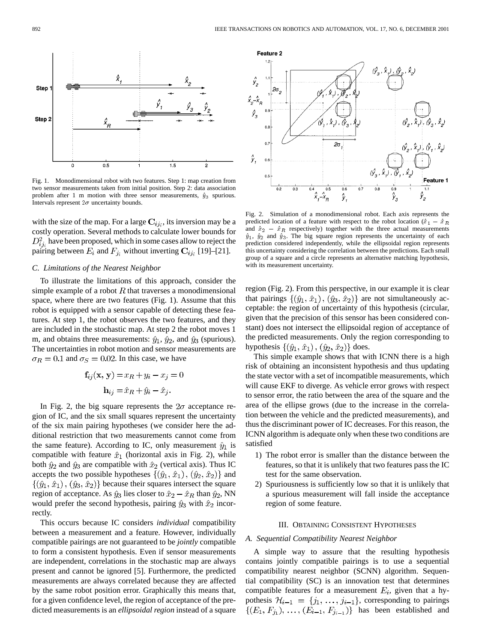

Fig. 1. Monodimensional robot with two features. Step 1: map creation from two sensor measurements taken from initial position. Step 2: data association problem after 1 m motion with three sensor measurements,  $\hat{y}_3$  spurious. Intervals represent  $2\sigma$  uncertainty bounds.

with the size of the map. For a large  $\mathbf{C}_{ij_i}$ , its inversion may be a costly operation. Several methods to calculate lower bounds for have been proposed, which in some cases allow to reject the pairing between  $E_i$  and  $F_i$ , without inverting  $C_{ij}$  [19]–[21].

# *C. Limitations of the Nearest Neighbor*

To illustrate the limitations of this approach, consider the simple example of a robot  $R$  that traverses a monodimensional space, where there are two features (Fig. 1). Assume that this robot is equipped with a sensor capable of detecting these features. At step 1, the robot observes the two features, and they are included in the stochastic map. At step 2 the robot moves 1 m, and obtains three measurements:  $\hat{y}_1$ ,  $\hat{y}_2$ , and  $\hat{y}_3$  (spurious). The uncertainties in robot motion and sensor measurements are  $\sigma_R = 0.1$  and  $\sigma_S = 0.02$ . In this case, we have

$$
\mathbf{f}_{ij}(\mathbf{x}, \mathbf{y}) = x_R + y_i - x_j = 0
$$

$$
\mathbf{h}_{ij} = \hat{x}_R + \hat{y}_i - \hat{x}_j.
$$

In Fig. 2, the big square represents the  $2\sigma$  acceptance region of IC, and the six small squares represent the uncertainty of the six main pairing hypotheses (we consider here the additional restriction that two measurements cannot come from the same feature). According to IC, only measurement  $\hat{y}_1$  is compatible with feature  $\hat{x}_1$  (horizontal axis in Fig. 2), while both  $\hat{y}_2$  and  $\hat{y}_3$  are compatible with  $\hat{x}_2$  (vertical axis). Thus IC accepts the two possible hypotheses  $\{(\hat{y}_1, \hat{x}_1), (\hat{y}_2, \hat{x}_2)\}\$  and  $\{(\hat{y}_1, \hat{x}_1), (\hat{y}_3, \hat{x}_2)\}\$ because their squares intersect the square region of acceptance. As  $\hat{y}_3$  lies closer to  $\hat{x}_2 - \hat{x}_R$  than  $\hat{y}_2$ , NN would prefer the second hypothesis, pairing  $\hat{y}_3$  with  $\hat{x}_2$  incorrectly.

This occurs because IC considers *individual* compatibility between a measurement and a feature. However, individually compatible pairings are not guaranteed to be *jointly* compatible to form a consistent hypothesis. Even if sensor measurements are independent, correlations in the stochastic map are always present and cannot be ignored [5]. Furthermore, the predicted measurements are always correlated because they are affected by the same robot position error. Graphically this means that, for a given confidence level, the region of acceptance of the predicted measurements is an *ellipsoidal region* instead of a square



Fig. 2. Simulation of a monodimensional robot. Each axis represents the  $x_1 - x_B$   $y_1$   $y_2$ <br>
Fig. 2. Simulation of a monodimensional robot. Each axis represents the robot location ( $\hat{x}_1 - \hat{x}_2$ ) Fig. 2. Simulation of a monodimensional robot. Each axis represents the predicted location of a feature with respect to the robot location  $(\hat{x}_1 - \hat{x}_R)$  and  $\hat{x}_2 - \hat{x}_R$  respectively) together with the three actual meas and  $\hat{x}_2 - \hat{x}_R$  respectively) together with the three actual measurements  $\hat{y}_1$ ,  $\hat{y}_2$  and  $\hat{y}_3$ . The big square region represents the uncertainty of each prediction considered independently, while the ellipsoidal region represents this uncertainty considering the correlation between the predictions. Each small group of a square and a circle represents an alternative matching hypothesis, with its measurement uncertainty.

region (Fig. 2). From this perspective, in our example it is clear that pairings  $\{(\hat{y}_1, \hat{x}_1), (\hat{y}_3, \hat{x}_2)\}\$  are not simultaneously acceptable: the region of uncertainty of this hypothesis (circular, given that the precision of this sensor has been considered constant) does not intersect the ellipsoidal region of acceptance of the predicted measurements. Only the region corresponding to hypothesis  $\{(\hat{y}_1, \hat{x}_1), (\hat{y}_2, \hat{x}_2)\}\)$  does.

This simple example shows that with ICNN there is a high risk of obtaining an inconsistent hypothesis and thus updating the state vector with a set of incompatible measurements, which will cause EKF to diverge. As vehicle error grows with respect to sensor error, the ratio between the area of the square and the area of the ellipse grows (due to the increase in the correlation between the vehicle and the predicted measurements), and thus the discriminant power of IC decreases. For this reason, the ICNN algorithm is adequate only when these two conditions are satisfied

- 1) The robot error is smaller than the distance between the features, so that it is unlikely that two features pass the IC test for the same observation.
- 2) Spuriousness is sufficiently low so that it is unlikely that a spurious measurement will fall inside the acceptance region of some feature.

## III. OBTAINING CONSISTENT HYPOTHESES

#### *A. Sequential Compatibility Nearest Neighbor*

A simple way to assure that the resulting hypothesis contains jointly compatible pairings is to use a sequential compatibility nearest neighbor (SCNN) algorithm. Sequential compatibility (SC) is an innovation test that determines compatible features for a measurement  $E_i$ , given that a hypothesis  $\mathcal{H}_{i-1} = \{j_1, \ldots, j_{i-1}\}\text{, corresponding to pairings}$ has been established and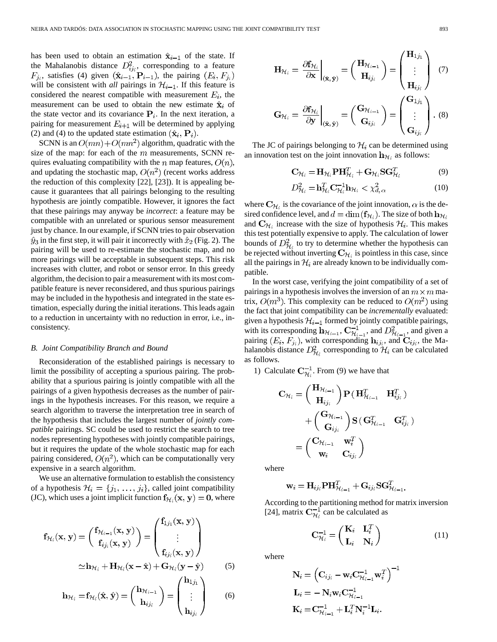has been used to obtain an estimation  $\hat{\mathbf{x}}_{i-1}$  of the state. If the Mahalanobis distance  $D_{ij}^2$ , corresponding to a feature  $F_{i_i}$ , satisfies (4) given  $(\hat{\mathbf{x}}_{i-1}, \mathbf{P}_{i-1})$ , the pairing  $(E_i, F_{i_i})$ will be consistent with *all* pairings in  $\mathcal{H}_{i-1}$ . If this feature is considered the nearest compatible with measurement  $E_i$ , the measurement can be used to obtain the new estimate  $\hat{\mathbf{x}}_i$  of the state vector and its covariance  $P_i$ . In the next iteration, a pairing for measurement  $E_{i+1}$  will be determined by applying (2) and (4) to the updated state estimation  $(\hat{\mathbf{x}}_i, \mathbf{P}_i)$ .

SCNN is an  $O(mn) + O(mn^2)$  algorithm, quadratic with the size of the map: for each of the  $m$  measurements, SCNN requires evaluating compatibility with the n map features,  $O(n)$ , and updating the stochastic map,  $O(n^2)$  (recent works address the reduction of this complexity [22], [23]). It is appealing because it guarantees that all pairings belonging to the resulting hypothesis are jointly compatible. However, it ignores the fact that these pairings may anyway be *incorrect*: a feature may be compatible with an unrelated or spurious sensor measurement just by chance. In our example, if SCNN tries to pair observation  $\hat{y}_3$  in the first step, it will pair it incorrectly with  $\hat{x}_2$  (Fig. 2). The pairing will be used to re-estimate the stochastic map, and no more pairings will be acceptable in subsequent steps. This risk increases with clutter, and robot or sensor error. In this greedy algorithm, the decision to pair a measurement with its most compatible feature is never reconsidered, and thus spurious pairings may be included in the hypothesis and integrated in the state estimation, especially during the initial iterations. This leads again to a reduction in uncertainty with no reduction in error, i.e., inconsistency.

# *B. Joint Compatibility Branch and Bound*

Reconsideration of the established pairings is necessary to limit the possibility of accepting a spurious pairing. The probability that a spurious pairing is jointly compatible with all the pairings of a given hypothesis decreases as the number of pairings in the hypothesis increases. For this reason, we require a search algorithm to traverse the interpretation tree in search of the hypothesis that includes the largest number of *jointly compatible* pairings. SC could be used to restrict the search to tree nodes representing hypotheses with jointly compatible pairings, but it requires the update of the whole stochastic map for each pairing considered,  $O(n^2)$ , which can be computationally very expensive in a search algorithm.

We use an alternative formulation to establish the consistency of a hypothesis  $\mathcal{H}_i = \{j_1, \ldots, j_i\}$ , called joint compatibility (JC), which uses a joint implicit function  $f_{\mathcal{H}_i}(\mathbf{x}, \mathbf{y}) = 0$ , where

$$
\mathbf{f}_{\mathcal{H}_i}(\mathbf{x}, \mathbf{y}) = \begin{pmatrix} \mathbf{f}_{\mathcal{H}_{i-1}}(\mathbf{x}, \mathbf{y}) \\ \mathbf{f}_{ij_i}(\mathbf{x}, \mathbf{y}) \end{pmatrix} = \begin{pmatrix} \mathbf{f}_{1j_1}(\mathbf{x}, \mathbf{y}) \\ \vdots \\ \mathbf{f}_{ij_i}(\mathbf{x}, \mathbf{y}) \end{pmatrix}
$$

$$
\simeq \mathbf{h}_{\mathcal{H}_i} + \mathbf{H}_{\mathcal{H}_i}(\mathbf{x} - \hat{\mathbf{x}}) + \mathbf{G}_{\mathcal{H}_i}(\mathbf{y} - \hat{\mathbf{y}}) \tag{5}
$$

$$
\mathbf{h}_{\mathcal{H}_i} = \mathbf{f}_{\mathcal{H}_i}(\hat{\mathbf{x}}, \hat{\mathbf{y}}) = \begin{pmatrix} \mathbf{h}_{\mathcal{H}_{i-1}} \\ \mathbf{h}_{ij_i} \end{pmatrix} = \begin{pmatrix} \mathbf{u}_{1j_1} \\ \vdots \\ \mathbf{h}_{ij_i} \end{pmatrix}
$$
 (6)

$$
\mathbf{H}_{\mathcal{H}_i} = \frac{\partial \mathbf{f}_{\mathcal{H}_i}}{\partial \mathbf{x}} \bigg|_{(\hat{\mathbf{x}}, \hat{\mathbf{y}})} = \begin{pmatrix} \mathbf{H}_{\mathcal{H}_{i-1}} \\ \mathbf{H}_{ij_i} \end{pmatrix} = \begin{pmatrix} \mathbf{H}_{1j_1} \\ \vdots \\ \mathbf{H}_{ij_i} \end{pmatrix} \tag{7}
$$

$$
\mathbf{G}_{\mathcal{H}_i} = \frac{\partial \mathbf{f}_{\mathcal{H}_i}}{\partial \mathbf{y}} \bigg|_{(\hat{\mathbf{x}}, \hat{\mathbf{y}})} = \begin{pmatrix} \mathbf{G}_{\mathcal{H}_{i-1}} \\ \mathbf{G}_{ij_i} \end{pmatrix} = \begin{pmatrix} \mathbf{G}_{1j_1} \\ \vdots \\ \mathbf{G}_{ij_i} \end{pmatrix} . (8)
$$

The JC of pairings belonging to  $\mathcal{H}_i$  can be determined using an innovation test on the joint innovation  $\mathbf{h}_{\mathcal{H}_i}$  as follows:

$$
\mathbf{C}_{\mathcal{H}_i} = \mathbf{H}_{\mathcal{H}_i} \mathbf{P} \mathbf{H}_{\mathcal{H}_i}^T + \mathbf{G}_{\mathcal{H}_i} \mathbf{S} \mathbf{G}_{\mathcal{H}_i}^T
$$
(9)

$$
D_{\mathcal{H}_i}^2 = \mathbf{h}_{\mathcal{H}_i}^T \mathbf{C}_{\mathcal{H}_i}^{-1} \mathbf{h}_{\mathcal{H}_i} < \chi_{d,\alpha}^2 \tag{10}
$$

where  $\mathbf{C}_{\mathcal{H}_i}$  is the covariance of the joint innovation,  $\alpha$  is the desired confidence level, and  $d = \dim(\mathbf{f}_{\mathcal{H}_i})$ . The size of both  $\mathbf{h}_{\mathcal{H}_i}$ and  $C_{\mathcal{H}_i}$  increase with the size of hypothesis  $\mathcal{H}_i$ . This makes this test potentially expensive to apply. The calculation of lower bounds of  $D_{\mathcal{H}_i}^2$  to try to determine whether the hypothesis can be rejected without inverting  $C_{\mathcal{H}_i}$  is pointless in this case, since all the pairings in  $\mathcal{H}_i$  are already known to be individually compatible.

In the worst case, verifying the joint compatibility of a set of pairings in a hypothesis involves the inversion of an  $m \times m$  matrix,  $O(m^3)$ . This complexity can be reduced to  $O(m^2)$  using the fact that joint compatibility can be *incrementally* evaluated: given a hypothesis  $\mathcal{H}_{i-1}$  formed by jointly compatible pairings, with its corresponding  $\mathbf{h}_{\mathcal{H}_{i-1}}$ ,  $\mathbf{C}_{\mathcal{H}_{i-1}}^{-1}$ , and  $D_{\mathcal{H}_{i-1}}^2$ , and given a pairing  $(E_i, F_{j_i})$ , with corresponding  $\mathbf{h}_{ij_i}$ , and  $\mathbf{C}_{ij_i}$ , the Mahalanobis distance  $D_{\mathcal{H}_i}^2$  corresponding to  $\mathcal{H}_i$  can be calculated as follows.

1) Calculate  $C_{\mathcal{H}_i}^{-1}$ . From (9) we have that

$$
\begin{aligned} \mathbf{C}_{\mathcal{H}_i} &= \begin{pmatrix} \mathbf{H}_{\mathcal{H}_{i-1}} \\ \mathbf{H}_{ij_i} \end{pmatrix} \mathbf{P} \left( \mathbf{H}_{\mathcal{H}_{i-1}}^T & \mathbf{H}_{ij_i}^T \right) \\ &+ \begin{pmatrix} \mathbf{G}_{\mathcal{H}_{i-1}} \\ \mathbf{G}_{ij_i} \end{pmatrix} \mathbf{S} \left( \mathbf{G}_{\mathcal{H}_{i-1}}^T & \mathbf{G}_{ij_i}^T \right) \\ &= \begin{pmatrix} \mathbf{C}_{\mathcal{H}_{i-1}} & \mathbf{w}_i^T \\ \mathbf{w}_i & \mathbf{C}_{ij_i} \end{pmatrix} \end{aligned}
$$

where

$$
\mathbf{w}_{i} = \mathbf{H}_{ij_{i}} \mathbf{P} \mathbf{H}_{\mathcal{H}_{i-1}}^{T} + \mathbf{G}_{ij_{i}} \mathbf{S} \mathbf{G}_{\mathcal{H}_{i-1}}^{T}.
$$

According to the partitioning method for matrix inversion [24], matrix  $C_{\mathcal{H}_{\lambda}}^{-1}$  can be calculated as

$$
\mathbf{C}_{\mathcal{H}_i}^{-1} = \begin{pmatrix} \mathbf{K}_i & \mathbf{L}_i^T \\ \mathbf{L}_i & \mathbf{N}_i \end{pmatrix}
$$
 (11)

where

$$
\begin{aligned} &\mathbf{N}_i = \left(\mathbf{C}_{ij_i} - \mathbf{w}_i \mathbf{C}_{\mathcal{H}_{i-1}}^{-1} \mathbf{w}_i^T \right)^{-1} \\ &\mathbf{L}_i = -\mathbf{N}_i \mathbf{w}_i \mathbf{C}_{\mathcal{H}_{i-1}}^{-1} \\ &\mathbf{K}_i = \mathbf{C}_{\mathcal{H}_{i-1}}^{-1} + \mathbf{L}_i^T \mathbf{N}_i^{-1} \mathbf{L}_i. \end{aligned}
$$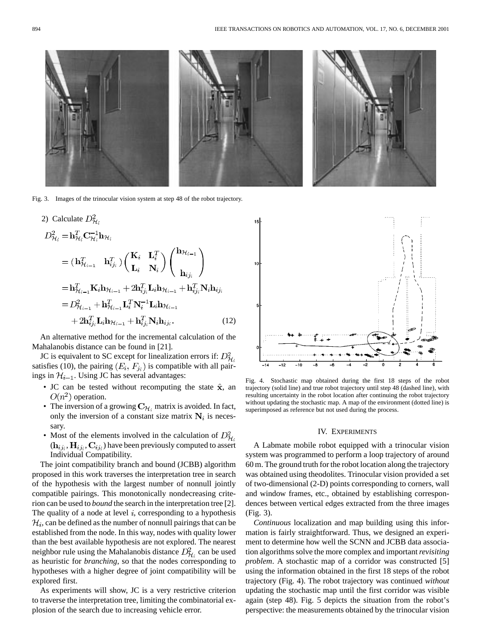

Fig. 3. Images of the trinocular vision system at step 48 of the robot trajectory.

) Calculate 
$$
D_{\mathcal{H}_i}^2
$$
  
\n
$$
D_{\mathcal{H}_i}^2 = \mathbf{h}_{\mathcal{H}_i}^T \mathbf{C}_{\mathcal{H}_i}^{-1} \mathbf{h}_{\mathcal{H}_i}
$$
\n
$$
= (\mathbf{h}_{\mathcal{H}_{i-1}}^T \mathbf{h}_{ij_i}^T) \begin{pmatrix} \mathbf{K}_i & \mathbf{L}_i^T \\ \mathbf{L}_i & \mathbf{N}_i \end{pmatrix} \begin{pmatrix} \mathbf{h}_{\mathcal{H}_{i-1}} \\ \mathbf{h}_{ij_i} \end{pmatrix}
$$
\n
$$
= \mathbf{h}_{\mathcal{H}_{i-1}}^T \mathbf{K}_i \mathbf{h}_{\mathcal{H}_{i-1}} + 2 \mathbf{h}_{ij_i}^T \mathbf{L}_i \mathbf{h}_{\mathcal{H}_{i-1}} + \mathbf{h}_{ij_i}^T \mathbf{N}_i \mathbf{h}_{ij_i}
$$
\n
$$
= D_{\mathcal{H}_{i-1}}^2 + \mathbf{h}_{\mathcal{H}_{i-1}}^T \mathbf{L}_i^T \mathbf{N}_i^{-1} \mathbf{L}_i \mathbf{h}_{\mathcal{H}_{i-1}}
$$
\n
$$
+ 2 \mathbf{h}_{ij_i}^T \mathbf{L}_i \mathbf{h}_{\mathcal{H}_{i-1}} + \mathbf{h}_{ij_i}^T \mathbf{N}_i \mathbf{h}_{ij_i}.
$$
\n(12)

An alternative method for the incremental calculation of the Mahalanobis distance can be found in [21].

JC is equivalent to SC except for linealization errors if:  $D_{\mathcal{H}_i}^2$ satisfies (10), the pairing  $(E_i, F_{j_i})$  is compatible with all pairings in  $H_{i-1}$ . Using JC has several advantages:

- JC can be tested without recomputing the state  $\hat{\mathbf{x}}$ , an  $O(n^2)$  operation.
- The inversion of a growing  $C_{\mathcal{H}_i}$  matrix is avoided. In fact, only the inversion of a constant size matrix  $N_i$  is necessary.
- Most of the elements involved in the calculation of  $D_{\mathcal{H}_{\delta}}^2$  $(h_{ij_i}, H_{ij_i}, C_{ij_i})$  have been previously computed to assert Individual Compatibility.

The joint compatibility branch and bound (JCBB) algorithm proposed in this work traverses the interpretation tree in search of the hypothesis with the largest number of nonnull jointly compatible pairings. This monotonically nondecreasing criterion can be used to *bound* the search in the interpretation tree [2]. The quality of a node at level  $i$ , corresponding to a hypothesis  $\mathcal{H}_i$ , can be defined as the number of nonnull pairings that can be established from the node. In this way, nodes with quality lower than the best available hypothesis are not explored. The nearest neighbor rule using the Mahalanobis distance  $D_{\mathcal{H}_{i}}^{2}$  can be used as heuristic for *branching*, so that the nodes corresponding to hypotheses with a higher degree of joint compatibility will be explored first.

As experiments will show, JC is a very restrictive criterion to traverse the interpretation tree, limiting the combinatorial explosion of the search due to increasing vehicle error.



Fig. 4. Stochastic map obtained during the first 18 steps of the robot trajectory (solid line) and true robot trajectory until step 48 (dashed line), with resulting uncertainty in the robot location after continuing the robot trajectory without updating the stochastic map. A map of the environment (dotted line) is superimposed as reference but not used during the process.

#### IV. EXPERIMENTS

A Labmate mobile robot equipped with a trinocular vision system was programmed to perform a loop trajectory of around 60 m. The ground truth for the robot location along the trajectory was obtained using theodolites. Trinocular vision provided a set of two-dimensional (2-D) points corresponding to corners, wall and window frames, etc., obtained by establishing correspondences between vertical edges extracted from the three images (Fig. 3).

*Continuous* localization and map building using this information is fairly straightforward. Thus, we designed an experiment to determine how well the SCNN and JCBB data association algorithms solve the more complex and important*revisiting problem*. A stochastic map of a corridor was constructed [5] using the information obtained in the first 18 steps of the robot trajectory (Fig. 4). The robot trajectory was continued *without* updating the stochastic map until the first corridor was visible again (step 48). Fig. 5 depicts the situation from the robot's perspective: the measurements obtained by the trinocular vision

 $2)$ 

J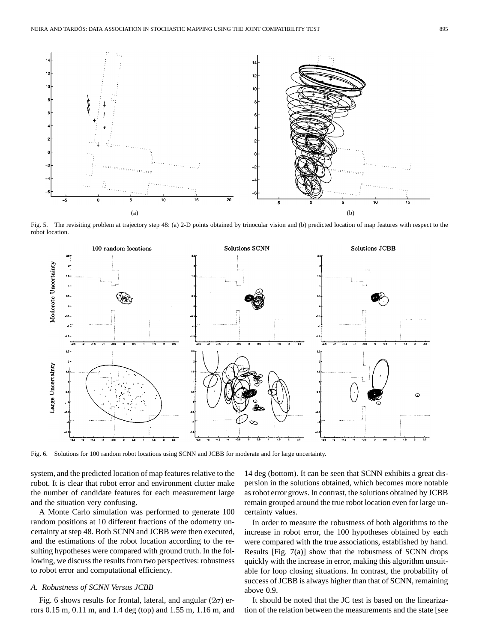

Fig. 5. The revisiting problem at trajectory step 48: (a) 2-D points obtained by trinocular vision and (b) predicted location of map features with respect to the robot location.



Fig. 6. Solutions for 100 random robot locations using SCNN and JCBB for moderate and for large uncertainty.

system, and the predicted location of map features relative to the robot. It is clear that robot error and environment clutter make the number of candidate features for each measurement large and the situation very confusing.

A Monte Carlo simulation was performed to generate 100 random positions at 10 different fractions of the odometry uncertainty at step 48. Both SCNN and JCBB were then executed, and the estimations of the robot location according to the resulting hypotheses were compared with ground truth. In the following, we discuss the results from two perspectives: robustness to robot error and computational efficiency.

# *A. Robustness of SCNN Versus JCBB*

Fig. 6 shows results for frontal, lateral, and angular  $(2\sigma)$  errors 0.15 m, 0.11 m, and 1.4 deg (top) and 1.55 m, 1.16 m, and

14 deg (bottom). It can be seen that SCNN exhibits a great dispersion in the solutions obtained, which becomes more notable as robot error grows. In contrast, the solutions obtained by JCBB remain grouped around the true robot location even for large uncertainty values.

In order to measure the robustness of both algorithms to the increase in robot error, the 100 hypotheses obtained by each were compared with the true associations, established by hand. Results [Fig. 7(a)] show that the robustness of SCNN drops quickly with the increase in error, making this algorithm unsuitable for loop closing situations. In contrast, the probability of success of JCBB is always higher than that of SCNN, remaining above 0.9.

It should be noted that the JC test is based on the linearization of the relation between the measurements and the state [see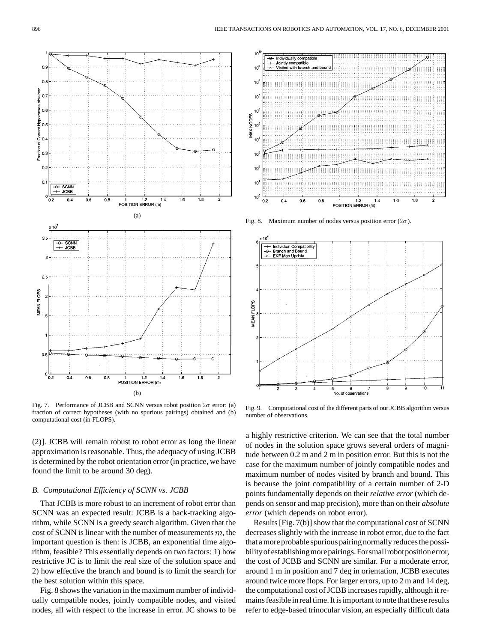

Fig. 7. Performance of JCBB and SCNN versus robot position  $2\sigma$  error: (a) fraction of correct hypotheses (with no spurious pairings) obtained and (b) computational cost (in FLOPS).

(2)]. JCBB will remain robust to robot error as long the linear approximation is reasonable. Thus, the adequacy of using JCBB is determined by the robot orientation error (in practice, we have found the limit to be around 30 deg).

# *B. Computational Efficiency of SCNN vs. JCBB*

That JCBB is more robust to an increment of robot error than SCNN was an expected result: JCBB is a back-tracking algorithm, while SCNN is a greedy search algorithm. Given that the cost of SCNN is linear with the number of measurements  $m$ , the important question is then: is JCBB, an exponential time algorithm, feasible? This essentially depends on two factors: 1) how restrictive JC is to limit the real size of the solution space and 2) how effective the branch and bound is to limit the search for the best solution within this space.

Fig. 8 shows the variation in the maximum number of individually compatible nodes, jointly compatible nodes, and visited nodes, all with respect to the increase in error. JC shows to be



Fig. 8. Maximum number of nodes versus position error  $(2\sigma)$ .



Fig. 9. Computational cost of the different parts of our JCBB algorithm versus number of observations.

a highly restrictive criterion. We can see that the total number of nodes in the solution space grows several orders of magnitude between 0.2 m and 2 m in position error. But this is not the case for the maximum number of jointly compatible nodes and maximum number of nodes visited by branch and bound. This is because the joint compatibility of a certain number of 2-D points fundamentally depends on their *relative error* (which depends on sensor and map precision), more than on their *absolute error* (which depends on robot error).

Results [Fig. 7(b)] show that the computational cost of SCNN decreases slightly with the increase in robot error, due to the fact that a more probable spurious pairing normally reduces the possibilityofestablishingmorepairings.Forsmallrobotpositionerror, the cost of JCBB and SCNN are similar. For a moderate error, around 1 m in position and 7 deg in orientation, JCBB executes around twice more flops. For larger errors, up to 2 m and 14 deg, the computational cost of JCBB increases rapidly, although it remains feasible in real time. It is important to note that these results refer to edge-based trinocular vision, an especially difficult data